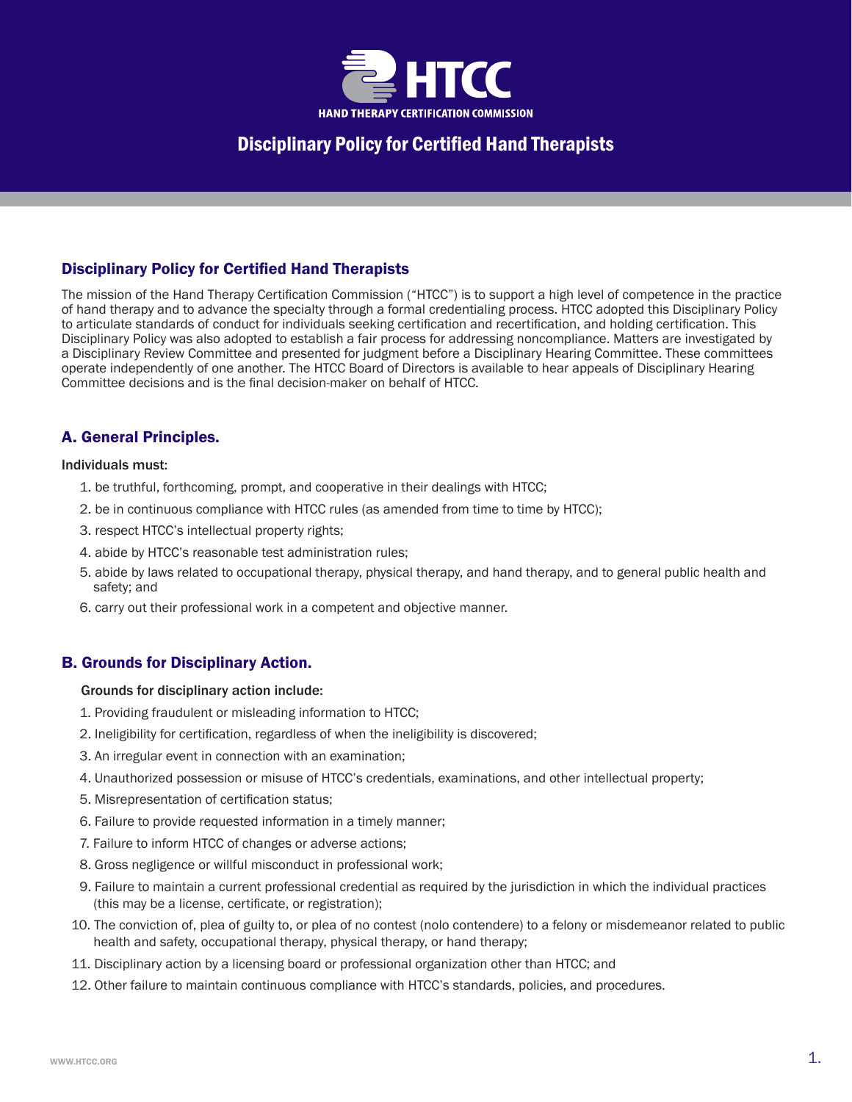

## Disciplinary Policy for Certified Hand Therapists

The mission of the Hand Therapy Certification Commission ("HTCC") is to support a high level of competence in the practice of hand therapy and to advance the specialty through a formal credentialing process. HTCC adopted this Disciplinary Policy to articulate standards of conduct for individuals seeking certification and recertification, and holding certification. This Disciplinary Policy was also adopted to establish a fair process for addressing noncompliance. Matters are investigated by a Disciplinary Review Committee and presented for judgment before a Disciplinary Hearing Committee. These committees operate independently of one another. The HTCC Board of Directors is available to hear appeals of Disciplinary Hearing Committee decisions and is the final decision-maker on behalf of HTCC.

## A. General Principles.

#### Individuals must:

- 1. be truthful, forthcoming, prompt, and cooperative in their dealings with HTCC;
- 2. be in continuous compliance with HTCC rules (as amended from time to time by HTCC);
- 3. respect HTCC's intellectual property rights;
- 4. abide by HTCC's reasonable test administration rules;
- 5. abide by laws related to occupational therapy, physical therapy, and hand therapy, and to general public health and safety; and
- 6. carry out their professional work in a competent and objective manner.

## B. Grounds for Disciplinary Action.

### Grounds for disciplinary action include:

- 1. Providing fraudulent or misleading information to HTCC;
- 2. Ineligibility for certification, regardless of when the ineligibility is discovered;
- 3. An irregular event in connection with an examination;
- 4. Unauthorized possession or misuse of HTCC's credentials, examinations, and other intellectual property;
- 5. Misrepresentation of certification status;
- 6. Failure to provide requested information in a timely manner;
- 7. Failure to inform HTCC of changes or adverse actions;
- 8. Gross negligence or willful misconduct in professional work;
- 9. Failure to maintain a current professional credential as required by the jurisdiction in which the individual practices (this may be a license, certificate, or registration);
- 10. The conviction of, plea of guilty to, or plea of no contest (nolo contendere) to a felony or misdemeanor related to public health and safety, occupational therapy, physical therapy, or hand therapy;
- 11. Disciplinary action by a licensing board or professional organization other than HTCC; and
- 12. Other failure to maintain continuous compliance with HTCC's standards, policies, and procedures.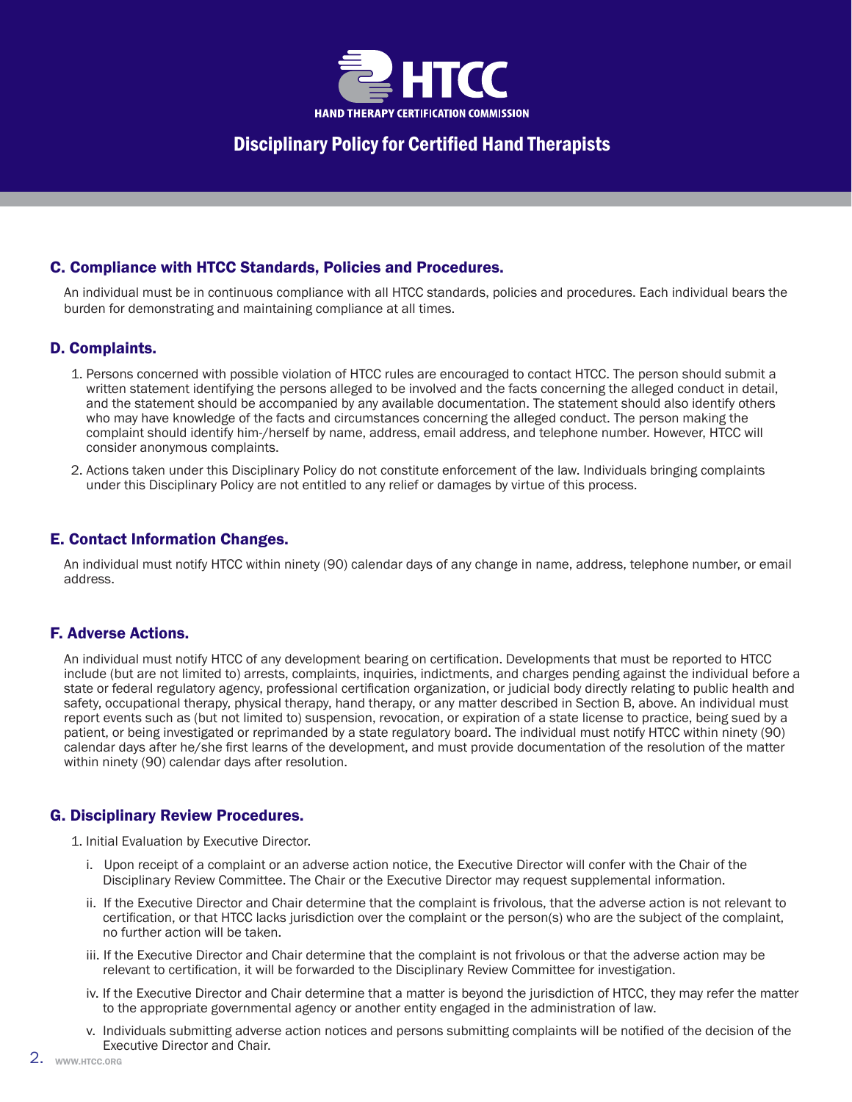

## C. Compliance with HTCC Standards, Policies and Procedures.

An individual must be in continuous compliance with all HTCC standards, policies and procedures. Each individual bears the burden for demonstrating and maintaining compliance at all times.

## D. Complaints.

- 1. Persons concerned with possible violation of HTCC rules are encouraged to contact HTCC. The person should submit a written statement identifying the persons alleged to be involved and the facts concerning the alleged conduct in detail, and the statement should be accompanied by any available documentation. The statement should also identify others who may have knowledge of the facts and circumstances concerning the alleged conduct. The person making the complaint should identify him-/herself by name, address, email address, and telephone number. However, HTCC will consider anonymous complaints.
- 2. Actions taken under this Disciplinary Policy do not constitute enforcement of the law. Individuals bringing complaints under this Disciplinary Policy are not entitled to any relief or damages by virtue of this process.

## E. Contact Information Changes.

An individual must notify HTCC within ninety (90) calendar days of any change in name, address, telephone number, or email address.

## F. Adverse Actions.

An individual must notify HTCC of any development bearing on certification. Developments that must be reported to HTCC include (but are not limited to) arrests, complaints, inquiries, indictments, and charges pending against the individual before a state or federal regulatory agency, professional certification organization, or judicial body directly relating to public health and safety, occupational therapy, physical therapy, hand therapy, or any matter described in Section B, above. An individual must report events such as (but not limited to) suspension, revocation, or expiration of a state license to practice, being sued by a patient, or being investigated or reprimanded by a state regulatory board. The individual must notify HTCC within ninety (90) calendar days after he/she first learns of the development, and must provide documentation of the resolution of the matter within ninety (90) calendar days after resolution.

## G. Disciplinary Review Procedures.

1. Initial Evaluation by Executive Director.

- i. Upon receipt of a complaint or an adverse action notice, the Executive Director will confer with the Chair of the Disciplinary Review Committee. The Chair or the Executive Director may request supplemental information.
- ii. If the Executive Director and Chair determine that the complaint is frivolous, that the adverse action is not relevant to certification, or that HTCC lacks jurisdiction over the complaint or the person(s) who are the subject of the complaint, no further action will be taken.
- iii. If the Executive Director and Chair determine that the complaint is not frivolous or that the adverse action may be relevant to certification, it will be forwarded to the Disciplinary Review Committee for investigation.
- iv. If the Executive Director and Chair determine that a matter is beyond the jurisdiction of HTCC, they may refer the matter to the appropriate governmental agency or another entity engaged in the administration of law.
- v. Individuals submitting adverse action notices and persons submitting complaints will be notified of the decision of the Executive Director and Chair.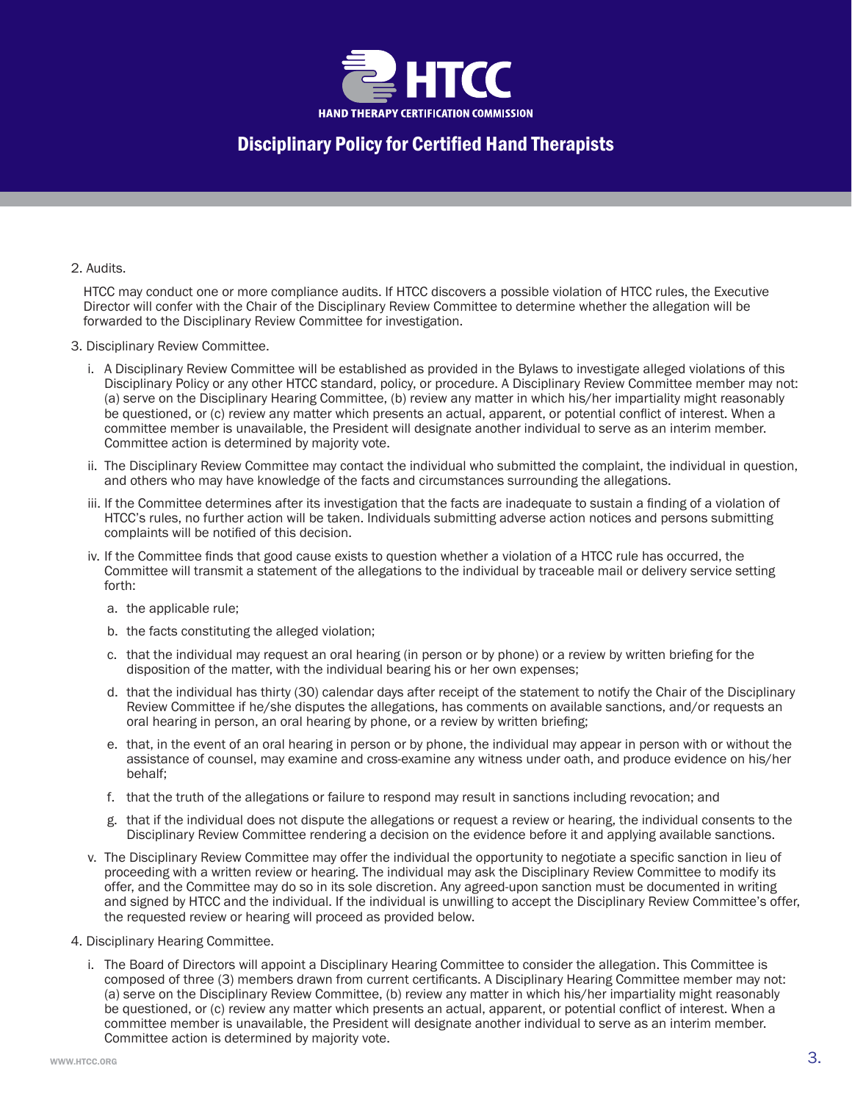

#### 2. Audits.

HTCC may conduct one or more compliance audits. If HTCC discovers a possible violation of HTCC rules, the Executive Director will confer with the Chair of the Disciplinary Review Committee to determine whether the allegation will be forwarded to the Disciplinary Review Committee for investigation.

- 3. Disciplinary Review Committee.
	- i. A Disciplinary Review Committee will be established as provided in the Bylaws to investigate alleged violations of this Disciplinary Policy or any other HTCC standard, policy, or procedure. A Disciplinary Review Committee member may not: (a) serve on the Disciplinary Hearing Committee, (b) review any matter in which his/her impartiality might reasonably be questioned, or (c) review any matter which presents an actual, apparent, or potential conflict of interest. When a committee member is unavailable, the President will designate another individual to serve as an interim member. Committee action is determined by majority vote.
	- ii. The Disciplinary Review Committee may contact the individual who submitted the complaint, the individual in question, and others who may have knowledge of the facts and circumstances surrounding the allegations.
	- iii. If the Committee determines after its investigation that the facts are inadequate to sustain a finding of a violation of HTCC's rules, no further action will be taken. Individuals submitting adverse action notices and persons submitting complaints will be notified of this decision.
	- iv. If the Committee finds that good cause exists to question whether a violation of a HTCC rule has occurred, the Committee will transmit a statement of the allegations to the individual by traceable mail or delivery service setting forth:
		- a. the applicable rule;
		- b. the facts constituting the alleged violation;
		- c. that the individual may request an oral hearing (in person or by phone) or a review by written briefing for the disposition of the matter, with the individual bearing his or her own expenses;
		- d. that the individual has thirty (30) calendar days after receipt of the statement to notify the Chair of the Disciplinary Review Committee if he/she disputes the allegations, has comments on available sanctions, and/or requests an oral hearing in person, an oral hearing by phone, or a review by written briefing;
		- e. that, in the event of an oral hearing in person or by phone, the individual may appear in person with or without the assistance of counsel, may examine and cross-examine any witness under oath, and produce evidence on his/her behalf;
		- f. that the truth of the allegations or failure to respond may result in sanctions including revocation; and
		- g. that if the individual does not dispute the allegations or request a review or hearing, the individual consents to the Disciplinary Review Committee rendering a decision on the evidence before it and applying available sanctions.
	- v. The Disciplinary Review Committee may offer the individual the opportunity to negotiate a specific sanction in lieu of proceeding with a written review or hearing. The individual may ask the Disciplinary Review Committee to modify its offer, and the Committee may do so in its sole discretion. Any agreed-upon sanction must be documented in writing and signed by HTCC and the individual. If the individual is unwilling to accept the Disciplinary Review Committee's offer, the requested review or hearing will proceed as provided below.
- 4. Disciplinary Hearing Committee.
	- i. The Board of Directors will appoint a Disciplinary Hearing Committee to consider the allegation. This Committee is composed of three (3) members drawn from current certificants. A Disciplinary Hearing Committee member may not: (a) serve on the Disciplinary Review Committee, (b) review any matter in which his/her impartiality might reasonably be questioned, or (c) review any matter which presents an actual, apparent, or potential conflict of interest. When a committee member is unavailable, the President will designate another individual to serve as an interim member. Committee action is determined by majority vote.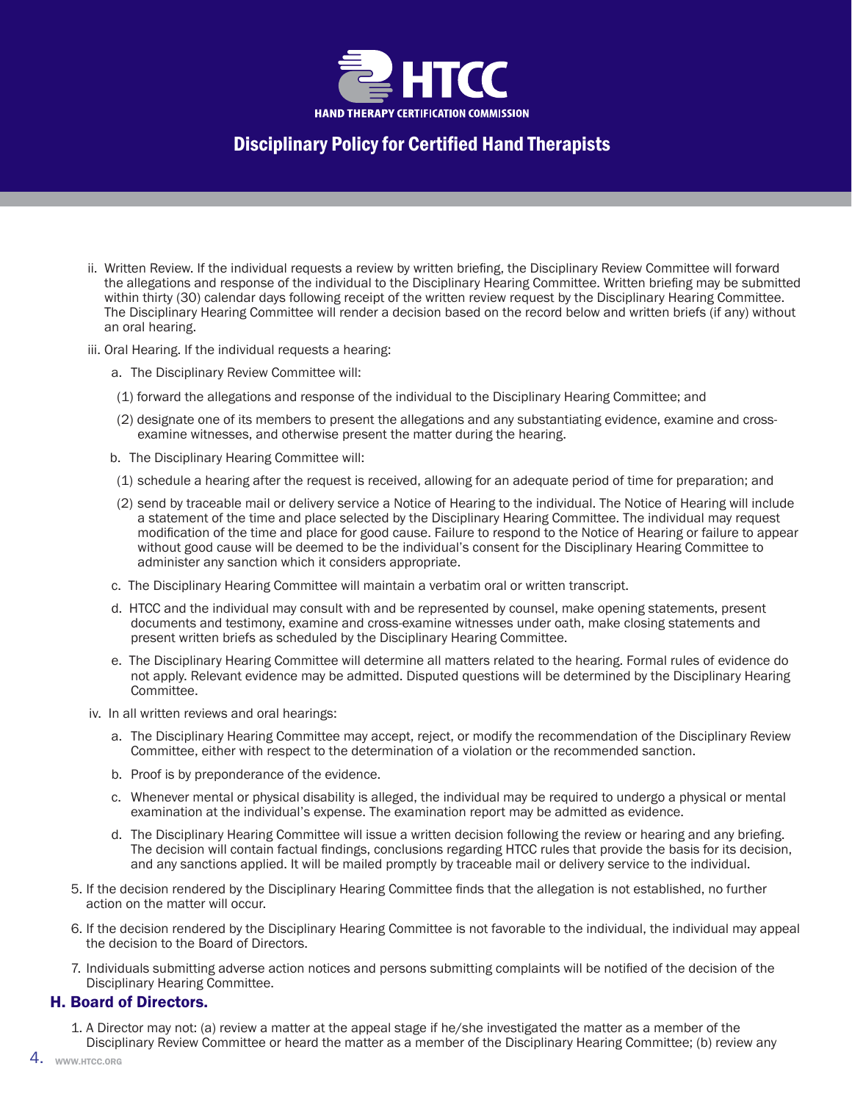

- ii. Written Review. If the individual requests a review by written briefing, the Disciplinary Review Committee will forward the allegations and response of the individual to the Disciplinary Hearing Committee. Written briefing may be submitted within thirty (30) calendar days following receipt of the written review request by the Disciplinary Hearing Committee. The Disciplinary Hearing Committee will render a decision based on the record below and written briefs (if any) without an oral hearing.
- iii. Oral Hearing. If the individual requests a hearing:
	- a. The Disciplinary Review Committee will:
	- (1) forward the allegations and response of the individual to the Disciplinary Hearing Committee; and
	- (2) designate one of its members to present the allegations and any substantiating evidence, examine and crossexamine witnesses, and otherwise present the matter during the hearing.
	- b. The Disciplinary Hearing Committee will:
	- (1) schedule a hearing after the request is received, allowing for an adequate period of time for preparation; and
	- (2) send by traceable mail or delivery service a Notice of Hearing to the individual. The Notice of Hearing will include a statement of the time and place selected by the Disciplinary Hearing Committee. The individual may request modification of the time and place for good cause. Failure to respond to the Notice of Hearing or failure to appear without good cause will be deemed to be the individual's consent for the Disciplinary Hearing Committee to administer any sanction which it considers appropriate.
	- c. The Disciplinary Hearing Committee will maintain a verbatim oral or written transcript.
	- d. HTCC and the individual may consult with and be represented by counsel, make opening statements, present documents and testimony, examine and cross-examine witnesses under oath, make closing statements and present written briefs as scheduled by the Disciplinary Hearing Committee.
	- e. The Disciplinary Hearing Committee will determine all matters related to the hearing. Formal rules of evidence do not apply. Relevant evidence may be admitted. Disputed questions will be determined by the Disciplinary Hearing Committee.
- iv. In all written reviews and oral hearings:
	- a. The Disciplinary Hearing Committee may accept, reject, or modify the recommendation of the Disciplinary Review Committee, either with respect to the determination of a violation or the recommended sanction.
	- b. Proof is by preponderance of the evidence.
	- c. Whenever mental or physical disability is alleged, the individual may be required to undergo a physical or mental examination at the individual's expense. The examination report may be admitted as evidence.
	- d. The Disciplinary Hearing Committee will issue a written decision following the review or hearing and any briefing. The decision will contain factual findings, conclusions regarding HTCC rules that provide the basis for its decision, and any sanctions applied. It will be mailed promptly by traceable mail or delivery service to the individual.
- 5. If the decision rendered by the Disciplinary Hearing Committee finds that the allegation is not established, no further action on the matter will occur.
- 6. If the decision rendered by the Disciplinary Hearing Committee is not favorable to the individual, the individual may appeal the decision to the Board of Directors.
- 7. Individuals submitting adverse action notices and persons submitting complaints will be notified of the decision of the Disciplinary Hearing Committee.

### H. Board of Directors.

1. A Director may not: (a) review a matter at the appeal stage if he/she investigated the matter as a member of the Disciplinary Review Committee or heard the matter as a member of the Disciplinary Hearing Committee; (b) review any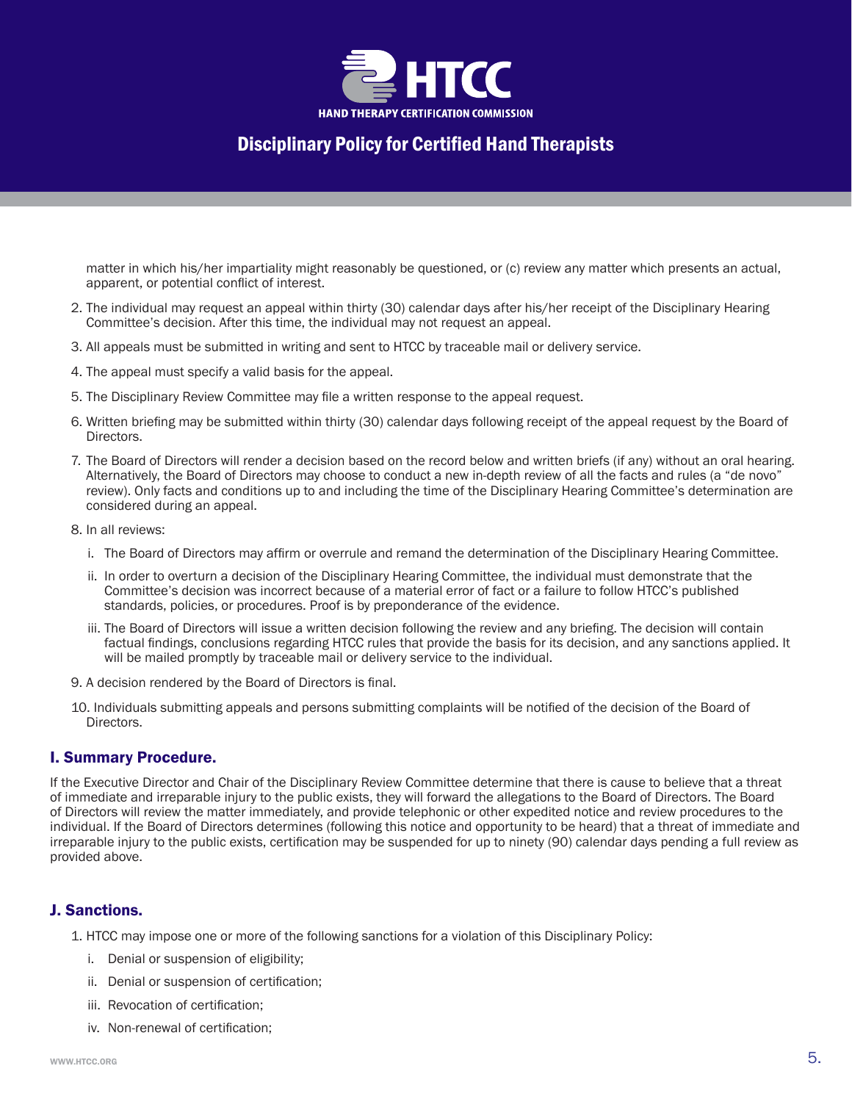

matter in which his/her impartiality might reasonably be questioned, or (c) review any matter which presents an actual, apparent, or potential conflict of interest.

- 2. The individual may request an appeal within thirty (30) calendar days after his/her receipt of the Disciplinary Hearing Committee's decision. After this time, the individual may not request an appeal.
- 3. All appeals must be submitted in writing and sent to HTCC by traceable mail or delivery service.
- 4. The appeal must specify a valid basis for the appeal.
- 5. The Disciplinary Review Committee may file a written response to the appeal request.
- 6. Written briefing may be submitted within thirty (30) calendar days following receipt of the appeal request by the Board of Directors.
- 7. The Board of Directors will render a decision based on the record below and written briefs (if any) without an oral hearing. Alternatively, the Board of Directors may choose to conduct a new in-depth review of all the facts and rules (a "de novo" review). Only facts and conditions up to and including the time of the Disciplinary Hearing Committee's determination are considered during an appeal.
- 8. In all reviews:
	- i. The Board of Directors may affirm or overrule and remand the determination of the Disciplinary Hearing Committee.
	- ii. In order to overturn a decision of the Disciplinary Hearing Committee, the individual must demonstrate that the Committee's decision was incorrect because of a material error of fact or a failure to follow HTCC's published standards, policies, or procedures. Proof is by preponderance of the evidence.
	- iii. The Board of Directors will issue a written decision following the review and any briefing. The decision will contain factual findings, conclusions regarding HTCC rules that provide the basis for its decision, and any sanctions applied. It will be mailed promptly by traceable mail or delivery service to the individual.
- 9. A decision rendered by the Board of Directors is final.
- 10. Individuals submitting appeals and persons submitting complaints will be notified of the decision of the Board of Directors.

### I. Summary Procedure.

If the Executive Director and Chair of the Disciplinary Review Committee determine that there is cause to believe that a threat of immediate and irreparable injury to the public exists, they will forward the allegations to the Board of Directors. The Board of Directors will review the matter immediately, and provide telephonic or other expedited notice and review procedures to the individual. If the Board of Directors determines (following this notice and opportunity to be heard) that a threat of immediate and irreparable injury to the public exists, certification may be suspended for up to ninety (90) calendar days pending a full review as provided above.

### J. Sanctions.

1. HTCC may impose one or more of the following sanctions for a violation of this Disciplinary Policy:

- i. Denial or suspension of eligibility;
- ii. Denial or suspension of certification;
- iii. Revocation of certification;
- iv. Non-renewal of certification;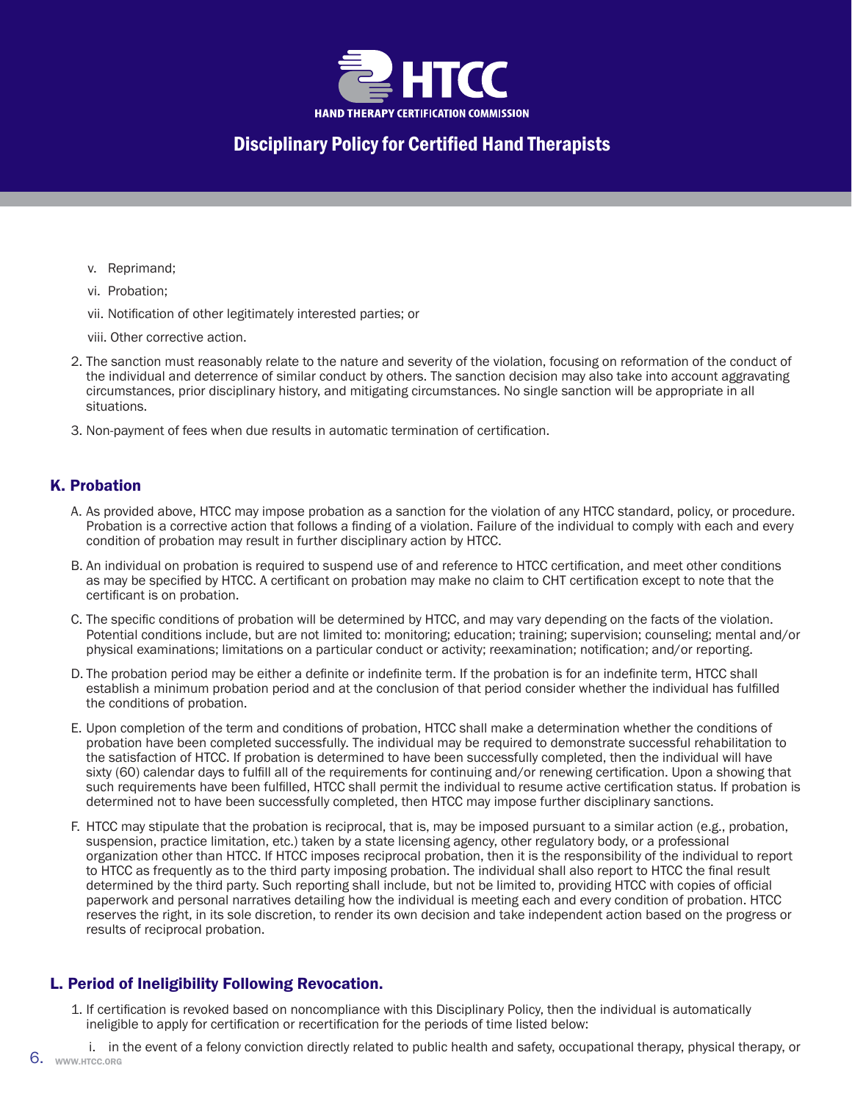

- v. Reprimand;
- vi. Probation;
- vii. Notification of other legitimately interested parties; or
- viii. Other corrective action.
- 2. The sanction must reasonably relate to the nature and severity of the violation, focusing on reformation of the conduct of the individual and deterrence of similar conduct by others. The sanction decision may also take into account aggravating circumstances, prior disciplinary history, and mitigating circumstances. No single sanction will be appropriate in all situations.
- 3. Non-payment of fees when due results in automatic termination of certification.

## K. Probation

- A. As provided above, HTCC may impose probation as a sanction for the violation of any HTCC standard, policy, or procedure. Probation is a corrective action that follows a finding of a violation. Failure of the individual to comply with each and every condition of probation may result in further disciplinary action by HTCC.
- B. An individual on probation is required to suspend use of and reference to HTCC certification, and meet other conditions as may be specified by HTCC. A certificant on probation may make no claim to CHT certification except to note that the certificant is on probation.
- C. The specific conditions of probation will be determined by HTCC, and may vary depending on the facts of the violation. Potential conditions include, but are not limited to: monitoring; education; training; supervision; counseling; mental and/or physical examinations; limitations on a particular conduct or activity; reexamination; notification; and/or reporting.
- D. The probation period may be either a definite or indefinite term. If the probation is for an indefinite term, HTCC shall establish a minimum probation period and at the conclusion of that period consider whether the individual has fulfilled the conditions of probation.
- E. Upon completion of the term and conditions of probation, HTCC shall make a determination whether the conditions of probation have been completed successfully. The individual may be required to demonstrate successful rehabilitation to the satisfaction of HTCC. If probation is determined to have been successfully completed, then the individual will have sixty (60) calendar days to fulfill all of the requirements for continuing and/or renewing certification. Upon a showing that such requirements have been fulfilled, HTCC shall permit the individual to resume active certification status. If probation is determined not to have been successfully completed, then HTCC may impose further disciplinary sanctions.
- F. HTCC may stipulate that the probation is reciprocal, that is, may be imposed pursuant to a similar action (e.g., probation, suspension, practice limitation, etc.) taken by a state licensing agency, other regulatory body, or a professional organization other than HTCC. If HTCC imposes reciprocal probation, then it is the responsibility of the individual to report to HTCC as frequently as to the third party imposing probation. The individual shall also report to HTCC the final result determined by the third party. Such reporting shall include, but not be limited to, providing HTCC with copies of official paperwork and personal narratives detailing how the individual is meeting each and every condition of probation. HTCC reserves the right, in its sole discretion, to render its own decision and take independent action based on the progress or results of reciprocal probation.

## L. Period of Ineligibility Following Revocation.

- 1. If certification is revoked based on noncompliance with this Disciplinary Policy, then the individual is automatically ineligible to apply for certification or recertification for the periods of time listed below:
- 6. WWW.HTCC.ORG i. in the event of a felony conviction directly related to public health and safety, occupational therapy, physical therapy, or